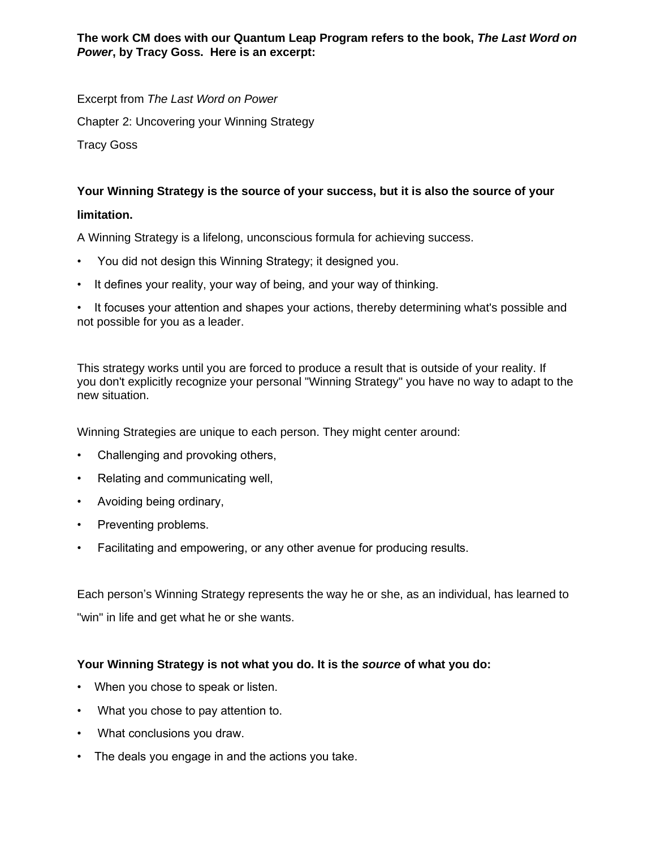**The work CM does with our Quantum Leap Program refers to the book,** *The Last Word on Power***, by Tracy Goss. Here is an excerpt:**

Excerpt from *The Last Word on Power*

Chapter 2: Uncovering your Winning Strategy

Tracy Goss

## **Your Winning Strategy is the source of your success, but it is also the source of your**

## **limitation.**

A Winning Strategy is a lifelong, unconscious formula for achieving success.

- You did not design this Winning Strategy; it designed you.
- It defines your reality, your way of being, and your way of thinking.

• It focuses your attention and shapes your actions, thereby determining what's possible and not possible for you as a leader.

This strategy works until you are forced to produce a result that is outside of your reality. If you don't explicitly recognize your personal "Winning Strategy" you have no way to adapt to the new situation.

Winning Strategies are unique to each person. They might center around:

- Challenging and provoking others,
- Relating and communicating well,
- Avoiding being ordinary,
- Preventing problems.
- Facilitating and empowering, or any other avenue for producing results.

Each person's Winning Strategy represents the way he or she, as an individual, has learned to "win" in life and get what he or she wants.

## **Your Winning Strategy is not what you do. It is the** *source* **of what you do:**

- When you chose to speak or listen.
- What you chose to pay attention to.
- What conclusions you draw.
- The deals you engage in and the actions you take.